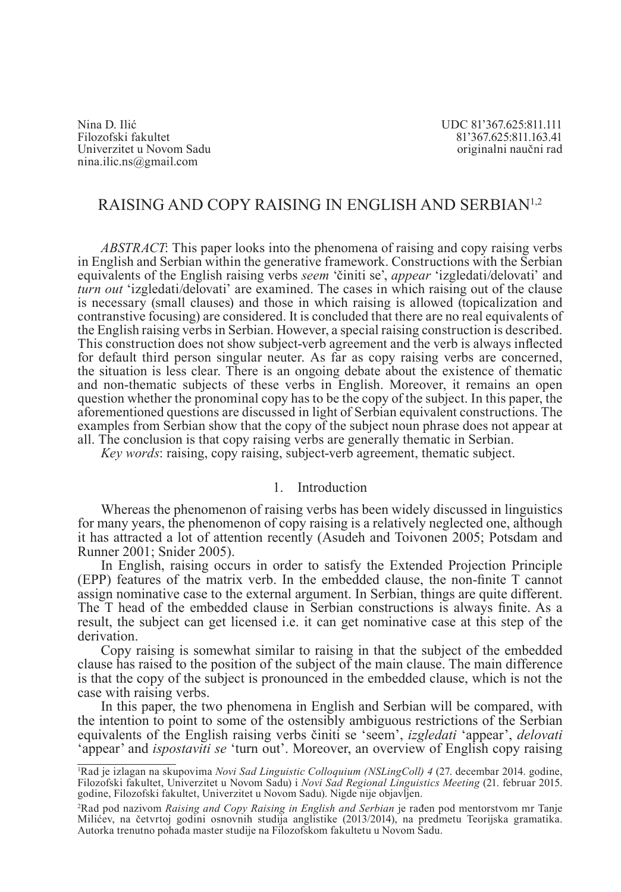Nina D. IlićUDC 81'367.625:811.111 Univerzitet u Novom Sadu nina.ilic.ns@gmail.com

81'367.625:811.163.41<br>originalni naučni rad

# RAISING AND COPY RAISING IN ENGLISH AND SERBIAN<sup>1</sup>,<sup>2</sup>

*ABSTRACT*: This paper looks into the phenomena of raising and copy raising verbs in English and Serbian within the generative framework. Constructions with the Serbian equivalents of the English raising verbs *seem* 'činiti se', *appear* 'izgledati/delovati' and *turn out* 'izgledati/delovati' are examined. The cases in which raising out of the clause is necessary (small clauses) and those in which raising is allowed (topicalization and contranstive focusing) are considered. It is concluded that there are no real equivalents of the English raising verbs in Serbian. However, a special raising construction is described. This construction does not show subject-verb agreement and the verb is always inflected for default third person singular neuter. As far as copy raising verbs are concerned, the situation is less clear. There is an ongoing debate about the existence of thematic and non-thematic subjects of these verbs in English. Moreover, it remains an open question whether the pronominal copy has to be the copy of the subject. In this paper, the aforementioned questions are discussed in light of Serbian equivalent constructions. The examples from Serbian show that the copy of the subject noun phrase does not appear at all. The conclusion is that copy raising verbs are generally thematic in Serbian.

*Key words*: raising, copy raising, subject-verb agreement, thematic subject.

# 1. Introduction

Whereas the phenomenon of raising verbs has been widely discussed in linguistics for many years, the phenomenon of copy raising is a relatively neglected one, although it has attracted a lot of attention recently (Asudeh and Toivonen 2005; Potsdam and Runner 2001; Snider 2005).

In English, raising occurs in order to satisfy the Extended Projection Principle (EPP) features of the matrix verb. In the embedded clause, the non-finite T cannot assign nominative case to the external argument. In Serbian, things are quite different. The T head of the embedded clause in Serbian constructions is always finite. As a result, the subject can get licensed i.e. it can get nominative case at this step of the derivation.

Copy raising is somewhat similar to raising in that the subject of the embedded clause has raised to the position of the subject of the main clause. The main difference is that the copy of the subject is pronounced in the embedded clause, which is not the case with raising verbs.

In this paper, the two phenomena in English and Serbian will be compared, with the intention to point to some of the ostensibly ambiguous restrictions of the Serbian equivalents of the English raising verbs činiti se 'seem', *izgledati* 'appear', *delovati*  'appear' and *ispostaviti se* 'turn out'. Moreover, an overview of English copy raising

<sup>1</sup> Rad je izlagan na skupovima *Novi Sad Linguistic Colloquium (NSLingColl) 4* (27. decembar 2014. godine, Filozofski fakultet, Univerzitet u Novom Sadu) i *Novi Sad Regional Linguistics Meeting* (21. februar 2015. godine, Filozofski fakultet, Univerzitet u Novom Sadu). Nigde nije objavljen.

<sup>2</sup> Rad pod nazivom *Raising and Copy Raising in English and Serbian* je rađen pod mentorstvom mr Tanje Milićev, na četvrtoj godini osnovnih studija anglistike (2013/2014), na predmetu Teorijska gramatika. Autorka trenutno pohađa master studije na Filozofskom fakultetu u Novom Sadu.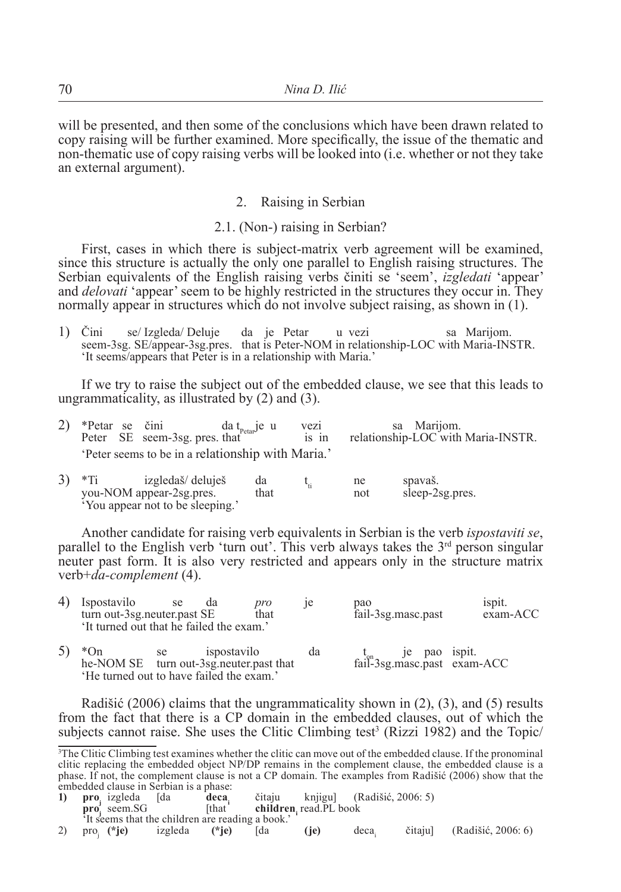will be presented, and then some of the conclusions which have been drawn related to copy raising will be further examined. More specifically, the issue of the thematic and non-thematic use of copy raising verbs will be looked into (i.e. whether or not they take an external argument).

### 2. Raising in Serbian

#### 2.1. (Non-) raising in Serbian?

First, cases in which there is subject-matrix verb agreement will be examined, since this structure is actually the only one parallel to English raising structures. The Serbian equivalents of the English raising verbs činiti se 'seem', *izgledati* 'appear' and *delovati* 'appear' seem to be highly restricted in the structures they occur in. They normally appear in structures which do not involve subject raising, as shown in (1).

1) Čini se/ Izgleda/ Deluje da je Petar u vezi sa Marijom. seem-3sg. SE/appear-3sg.pres. that is Peter-NOM in relationship-LOC with Maria-INSTR. 'It seems/appears that Peter is in a relationship with Maria.'

If we try to raise the subject out of the embedded clause, we see that this leads to ungrammaticality, as illustrated by (2) and (3).

|  | 2) *Petar se čini<br>Peter SE seem-3sg. pres. that | $\frac{d}{dx}$ da t <sub>petar</sub> je u | vezi<br>1S 1D | sa Marijom.<br>relationship-LOC with Maria-INSTR. |
|--|----------------------------------------------------|-------------------------------------------|---------------|---------------------------------------------------|
|  | 'Peter seems to be in a relationship with Maria.'  |                                           |               |                                                   |

| 3) | izgledaš/ deluješ               | da   | ne  | spavaš.         |
|----|---------------------------------|------|-----|-----------------|
|    | you-NOM appear-2sg.pres.        | that | not | sleep-2sg.pres. |
|    | 'You appear not to be sleeping. |      |     |                 |

Another candidate for raising verb equivalents in Serbian is the verb *ispostaviti se*, parallel to the English verb 'turn out'. This verb always takes the  $3<sup>rd</sup>$  person singular neuter past form. It is also very restricted and appears only in the structure matrix verb+*da-complement* (4).

| 4) | Ispostavilo<br>turn out-3sg.neuter.past SE<br>'It turned out that he failed the exam.'        | se    | da          | pro<br>that |    | pao | fail-3sg.masc.past | ispit.<br>exam-ACC                                            |
|----|-----------------------------------------------------------------------------------------------|-------|-------------|-------------|----|-----|--------------------|---------------------------------------------------------------|
|    | $*$ On<br>he-NOM SE turn out-3sg.neuter.past that<br>'He turned out to have failed the exam.' | se se | ispostavilo |             | da |     |                    | $t_{\text{ail}}$ je pao ispit.<br>fail-3sg.masc.past exam-ACC |

Radišić (2006) claims that the ungrammaticality shown in  $(2)$ ,  $(3)$ , and  $(5)$  results from the fact that there is a CP domain in the embedded clauses, out of which the subjects cannot raise. She uses the Clitic Climbing test<sup>3</sup> (Rizzi 1982) and the Topic/

**pro** seem. SG [that **children**] children, read.PL book

<sup>3</sup> The Clitic Climbing test examines whether the clitic can move out of the embedded clause. If the pronominal clitic replacing the embedded object NP/DP remains in the complement clause, the embedded clause is a phase. If not, the complement clause is not a CP domain. The examples from Radišić (2006) show that the embedded clause in Serbian is a phase:<br>1) pro, izgleda [da deca,

**<sup>1)</sup> proj** izgleda [da **decai** čitaju knjigu] (Radišić, 2006: 5)

<sup>&</sup>lt;sup>2</sup>It seems that the children are reading a book.'<br>2) pro. (\*je) izgleda (\*je) [da 2) proj **(\*je)** izgleda **(\*je)** [da **(je)** deca<sup>i</sup> čitaju] (Radišić, 2006: 6)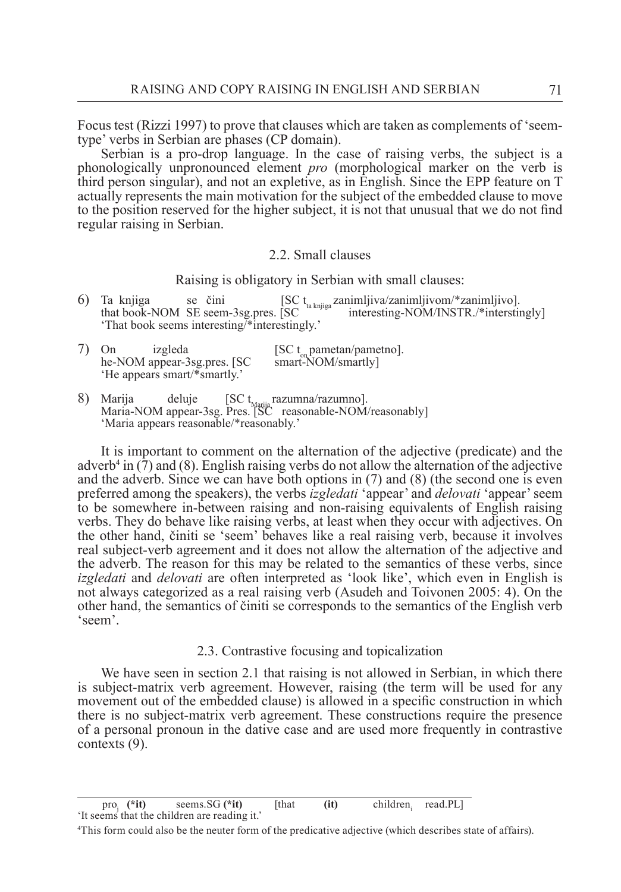Focus test (Rizzi 1997) to prove that clauses which are taken as complements of 'seemtype' verbs in Serbian are phases (CP domain).

Serbian is a pro-drop language. In the case of raising verbs, the subject is a phonologically unpronounced element *pro* (morphological marker on the verb is third person singular), and not an expletive, as in English. Since the EPP feature on T actually represents the main motivation for the subject of the embedded clause to move to the position reserved for the higher subject, it is not that unusual that we do not find regular raising in Serbian.

#### 2.2. Small clauses

Raising is obligatory in Serbian with small clauses:

6) Ta knjiga se čini  $[SC t<sub>ta knjiga</sub> zanimljiva/zanimljivom/*zanimljivo].$ that book-NOM SE seem-3sg.pres.  $[SC t<sub>ta knjiga</sub> zanimljiva/zanimljivom/*zanimerstu].$ interesting-NOM/INSTR./\*interstingly] 'That book seems interesting/\*interestingly.'

| izgleda<br>On                | [SC $t_{on}$ pametan/pametno]. |
|------------------------------|--------------------------------|
| he-NOM appear-3sg.pres. [SC] | $smart-NOM/smartly$            |
| 'He appears smart/*smartly.' |                                |

8) Marija deluje [SC t<sub>Marija</sub> razumna/razumno].<br>Maria-NOM appear-3sg. Pres. [SC reasonable-NOM/reasonably] 'Maria appears reasonable/\*reasonably.'

It is important to comment on the alternation of the adjective (predicate) and the adverb<sup>4</sup> in (7) and (8). English raising verbs do not allow the alternation of the adjective and the adverb. Since we can have both options in (7) and (8) (the second one is even preferred among the speakers), the verbs *izgledati* 'appear' and *delovati* 'appear' seem to be somewhere in-between raising and non-raising equivalents of English raising verbs. They do behave like raising verbs, at least when they occur with adjectives. On the other hand, činiti se 'seem' behaves like a real raising verb, because it involves real subject-verb agreement and it does not allow the alternation of the adjective and the adverb. The reason for this may be related to the semantics of these verbs, since *izgledati* and *delovati* are often interpreted as 'look like', which even in English is not always categorized as a real raising verb (Asudeh and Toivonen 2005: 4). On the other hand, the semantics of činiti se corresponds to the semantics of the English verb 'seem'.

#### 2.3. Contrastive focusing and topicalization

We have seen in section 2.1 that raising is not allowed in Serbian, in which there is subject-matrix verb agreement. However, raising (the term will be used for any movement out of the embedded clause) is allowed in a specific construction in which there is no subject-matrix verb agreement. These constructions require the presence of a personal pronoun in the dative case and are used more frequently in contrastive contexts (9).

pro<sub>i</sub> (\*it) seems. SG (\*it) [that (it) children<sub>i</sub> read. PL] 'It seems that the children are reading it.'

<sup>4</sup> This form could also be the neuter form of the predicative adjective (which describes state of affairs).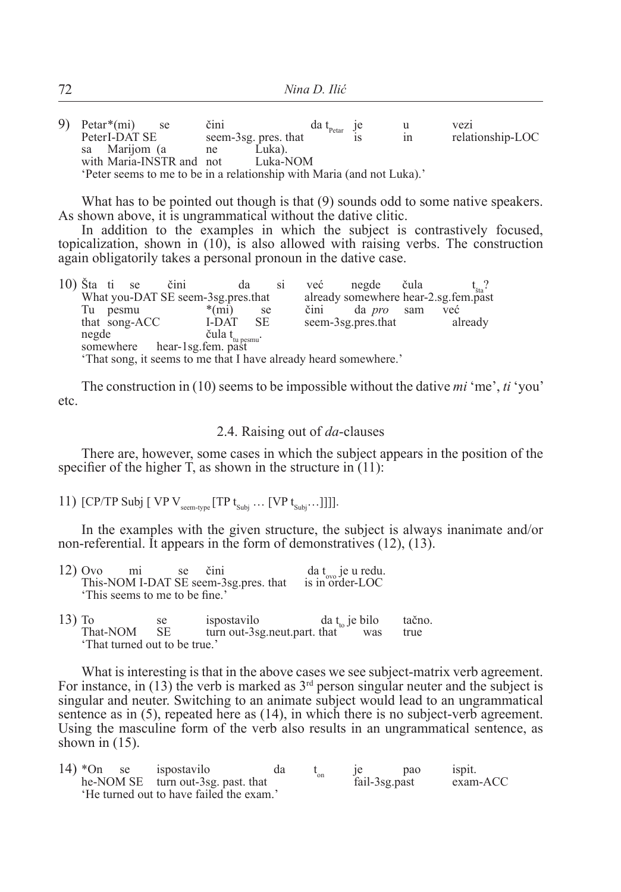|  | 9) Petar $*(mi)$         | se se | čini |                                                                      | da $t_{\text{Petar}}$ je |    | vezi             |
|--|--------------------------|-------|------|----------------------------------------------------------------------|--------------------------|----|------------------|
|  | PeterI-DAT SE            |       |      | seem-3sg. pres. that                                                 |                          | ın | relationship-LOC |
|  | sa Marijom (a            |       | ne   | Luka).                                                               |                          |    |                  |
|  | with Maria-INSTR and not |       |      | Luka-NOM                                                             |                          |    |                  |
|  |                          |       |      | Peter seems to me to be in a relationship with Maria (and not Luka). |                          |    |                  |

What has to be pointed out though is that  $(9)$  sounds odd to some native speakers. As shown above, it is ungrammatical without the dative clitic.

In addition to the examples in which the subject is contrastively focused, topicalization, shown in (10), is also allowed with raising verbs. The construction again obligatorily takes a personal pronoun in the dative case.

| $10$ ) Šta ti se |       |               | čini | da                                                                 |      | S1 | već  | negde čula                                                       |         |  |
|------------------|-------|---------------|------|--------------------------------------------------------------------|------|----|------|------------------------------------------------------------------|---------|--|
|                  |       |               |      | What you-DAT SE seem-3sg.pres.that                                 |      |    |      | already somewhere hear-2.sg.fem.past                             |         |  |
| Tu               | pesmu |               |      | $*(mi)$                                                            | se   |    | čini | da <i>pro</i> sam                                                | već     |  |
|                  |       | that song-ACC |      | I-DAT                                                              | - SE |    |      | seem-3sg.pres.that                                               | already |  |
|                  |       |               |      | negde čula t <sub>tu pesmu</sub> :<br>somewhere hear-1sg.fem. past |      |    |      |                                                                  |         |  |
|                  |       |               |      |                                                                    |      |    |      |                                                                  |         |  |
|                  |       |               |      |                                                                    |      |    |      | 'That song, it seems to me that I have already heard somewhere.' |         |  |

The construction in (10) seems to be impossible without the dative *mi* 'me', *ti* 'you' etc.

#### 2.4. Raising out of *da*-clauses

There are, however, some cases in which the subject appears in the position of the specifier of the higher  $\overline{T}$ , as shown in the structure in (11):

11)  $[CP/TP$  Subj  $[VPV_{\text{seem-tve}}]$  $[TP t_{\text{Subi}} \dots [VP t_{\text{Subi}}]]$ ].

In the examples with the given structure, the subject is always inanimate and/or non-referential. It appears in the form of demonstratives (12), (13).

| $12)$ Ovo | m <sub>1</sub>                 | se | čini |                                       | da $t_{\text{ovo}}$ je u redu.<br>is in order-LOC |
|-----------|--------------------------------|----|------|---------------------------------------|---------------------------------------------------|
|           |                                |    |      | This-NOM I-DAT SE seem-3sg.pres. that |                                                   |
|           | 'This seems to me to be fine.' |    |      |                                       |                                                   |

13) To se ispostavilo da t<sub>to</sub> je bilo tačno.<br>
That-NOM SE turn out-3sg neut part that was true  $turn out-3sg.$  neut.part. that was 'That turned out to be true.'

What is interesting is that in the above cases we see subject-matrix verb agreement. For instance, in (13) the verb is marked as  $3<sup>rd</sup>$  person singular neuter and the subject is singular and neuter. Switching to an animate subject would lead to an ungrammatical sentence as in (5), repeated here as (14), in which there is no subject-verb agreement. Using the masculine form of the verb also results in an ungrammatical sentence, as shown in  $(15)$ .

| $14$ *On se | ispostavilo                              | da | `on |               | pao | ispit.   |
|-------------|------------------------------------------|----|-----|---------------|-----|----------|
|             | he-NOM SE turn out-3sg. past. that       |    |     | fail-3sg.past |     | exam-ACC |
|             | 'He turned out to have failed the exam.' |    |     |               |     |          |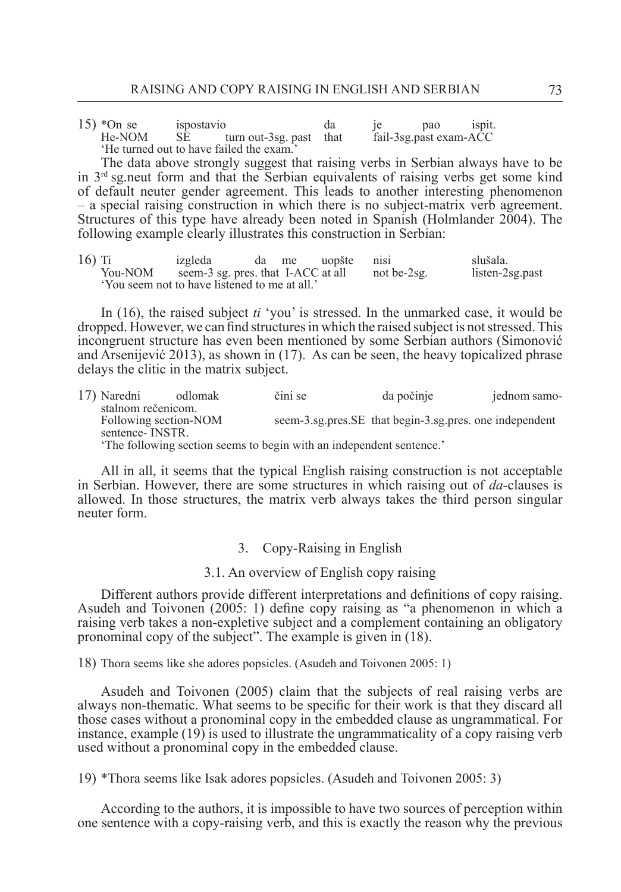15) \*On se ispostavio da je pao ispit.<br>
He-NOM SE turn out-3sg past that fail-3sg past exam-ACC  $turn out-3sg. past that$ 'He turned out to have failed the exam.'

The data above strongly suggest that raising verbs in Serbian always have to be in 3rd sg.neut form and that the Serbian equivalents of raising verbs get some kind of default neuter gender agreement. This leads to another interesting phenomenon – a special raising construction in which there is no subject-matrix verb agreement. Structures of this type have already been noted in Spanish (Holmlander 2004). The following example clearly illustrates this construction in Serbian:

16) Ti izgleda da me uopšte nisi slušala. You-NOM seem-3 sg. pres. that I-ACC at all not be-2sg. listen-2sg.past 'You seem not to have listened to me at all.'

In (16), the raised subject *ti* 'you' is stressed. In the unmarked case, it would be dropped. However, we can find structures in which the raised subject is not stressed. This incongruent structure has even been mentioned by some Serbian authors (Simonović and Arsenijević 2013), as shown in (17). As can be seen, the heavy topicalized phrase delays the clitic in the matrix subject.

| 17) Naredni           | odlomak | čini se                                                              | da počinje                                              | jednom samo- |
|-----------------------|---------|----------------------------------------------------------------------|---------------------------------------------------------|--------------|
| stalnom rečenicom.    |         |                                                                      |                                                         |              |
| Following section-NOM |         |                                                                      | seem-3.sg.pres.SE that begin-3.sg.pres. one independent |              |
| sentence-INSTR.       |         |                                                                      |                                                         |              |
|                       |         | 'The following section seems to begin with an independent sentence.' |                                                         |              |

All in all, it seems that the typical English raising construction is not acceptable in Serbian. However, there are some structures in which raising out of *da*-clauses is allowed. In those structures, the matrix verb always takes the third person singular neuter form.

## 3. Copy-Raising in English

#### 3.1. An overview of English copy raising

Different authors provide different interpretations and definitions of copy raising. Asudeh and Toivonen (2005: 1) define copy raising as "a phenomenon in which a raising verb takes a non-expletive subject and a complement containing an obligatory pronominal copy of the subject". The example is given in (18).

18) Thora seems like she adores popsicles. (Asudeh and Toivonen 2005: 1)

Asudeh and Toivonen (2005) claim that the subjects of real raising verbs are always non-thematic. What seems to be specific for their work is that they discard all those cases without a pronominal copy in the embedded clause as ungrammatical. For instance, example (19) is used to illustrate the ungrammaticality of a copy raising verb used without a pronominal copy in the embedded clause.

19) \*Thora seems like Isak adores popsicles. (Asudeh and Toivonen 2005: 3)

According to the authors, it is impossible to have two sources of perception within one sentence with a copy-raising verb, and this is exactly the reason why the previous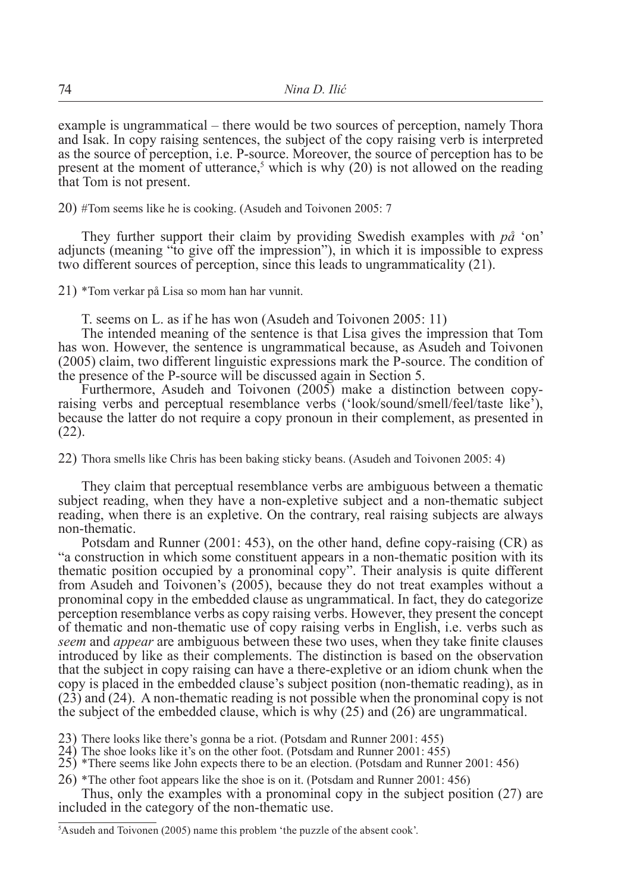example is ungrammatical – there would be two sources of perception, namely Thora and Isak. In copy raising sentences, the subject of the copy raising verb is interpreted as the source of perception, i.e. P-source. Moreover, the source of perception has to be present at the moment of utterance,<sup>5</sup> which is why  $(20)$  is not allowed on the reading that Tom is not present.

20) #Tom seems like he is cooking. (Asudeh and Toivonen 2005: 7

They further support their claim by providing Swedish examples with *på* 'on' adjuncts (meaning "to give off the impression"), in which it is impossible to express two different sources of perception, since this leads to ungrammaticality (21).

21) \*Tom verkar på Lisa so mom han har vunnit.

T. seems on L. as if he has won (Asudeh and Toivonen 2005: 11)

The intended meaning of the sentence is that Lisa gives the impression that Tom has won. However, the sentence is ungrammatical because, as Asudeh and Toivonen (2005) claim, two different linguistic expressions mark the P-source. The condition of the presence of the P-source will be discussed again in Section 5.

Furthermore, Asudeh and Toivonen (2005) make a distinction between copyraising verbs and perceptual resemblance verbs ('look/sound/smell/feel/taste like'), because the latter do not require a copy pronoun in their complement, as presented in (22).

22) Thora smells like Chris has been baking sticky beans. (Asudeh and Toivonen 2005: 4)

They claim that perceptual resemblance verbs are ambiguous between a thematic subject reading, when they have a non-expletive subject and a non-thematic subject reading, when there is an expletive. On the contrary, real raising subjects are always non-thematic.

Potsdam and Runner (2001: 453), on the other hand, define copy-raising (CR) as "a construction in which some constituent appears in a non-thematic position with its thematic position occupied by a pronominal copy". Their analysis is quite different from Asudeh and Toivonen's (2005), because they do not treat examples without a pronominal copy in the embedded clause as ungrammatical. In fact, they do categorize perception resemblance verbs as copy raising verbs. However, they present the concept of thematic and non-thematic use of copy raising verbs in English, i.e. verbs such as *seem* and *appear* are ambiguous between these two uses, when they take finite clauses introduced by like as their complements. The distinction is based on the observation that the subject in copy raising can have a there-expletive or an idiom chunk when the copy is placed in the embedded clause's subject position (non-thematic reading), as in (23) and (24). A non-thematic reading is not possible when the pronominal copy is not the subject of the embedded clause, which is why (25) and (26) are ungrammatical.

23) There looks like there's gonna be a riot. (Potsdam and Runner 2001: 455)

24) The shoe looks like it's on the other foot. (Potsdam and Runner 2001: 455)

25) \*There seems like John expects there to be an election. (Potsdam and Runner 2001: 456)

26) \*The other foot appears like the shoe is on it. (Potsdam and Runner 2001: 456)

Thus, only the examples with a pronominal copy in the subject position (27) are included in the category of the non-thematic use.

5 Asudeh and Toivonen (2005) name this problem 'the puzzle of the absent cook'.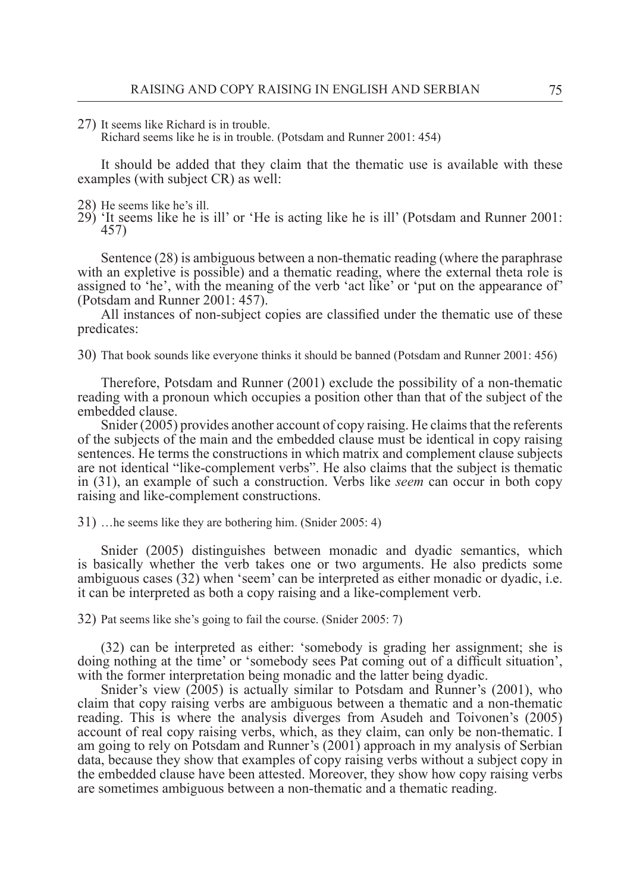27) It seems like Richard is in trouble.

Richard seems like he is in trouble. (Potsdam and Runner 2001: 454)

It should be added that they claim that the thematic use is available with these examples (with subject CR) as well:

- 28) He seems like he's ill.
- 29) 'It seems like he is ill' or 'He is acting like he is ill' (Potsdam and Runner 2001: 457)

Sentence (28) is ambiguous between a non-thematic reading (where the paraphrase with an expletive is possible) and a thematic reading, where the external theta role is assigned to 'he', with the meaning of the verb 'act like' or 'put on the appearance of' (Potsdam and Runner 2001: 457).

All instances of non-subject copies are classified under the thematic use of these predicates:

30) That book sounds like everyone thinks it should be banned (Potsdam and Runner 2001: 456)

Therefore, Potsdam and Runner (2001) exclude the possibility of a non-thematic reading with a pronoun which occupies a position other than that of the subject of the embedded clause.

Snider (2005) provides another account of copy raising. He claims that the referents of the subjects of the main and the embedded clause must be identical in copy raising sentences. He terms the constructions in which matrix and complement clause subjects are not identical "like-complement verbs". He also claims that the subject is thematic in (31), an example of such a construction. Verbs like *seem* can occur in both copy raising and like-complement constructions.

31) …he seems like they are bothering him. (Snider 2005: 4)

Snider (2005) distinguishes between monadic and dyadic semantics, which is basically whether the verb takes one or two arguments. He also predicts some ambiguous cases (32) when 'seem' can be interpreted as either monadic or dyadic, i.e. it can be interpreted as both a copy raising and a like-complement verb.

32) Pat seems like she's going to fail the course. (Snider 2005: 7)

(32) can be interpreted as either: 'somebody is grading her assignment; she is doing nothing at the time' or 'somebody sees Pat coming out of a difficult situation', with the former interpretation being monadic and the latter being dyadic.

Snider's view (2005) is actually similar to Potsdam and Runner's (2001), who claim that copy raising verbs are ambiguous between a thematic and a non-thematic reading. This is where the analysis diverges from Asudeh and Toivonen's (2005) account of real copy raising verbs, which, as they claim, can only be non-thematic. I am going to rely on Potsdam and Runner's (2001) approach in my analysis of Serbian data, because they show that examples of copy raising verbs without a subject copy in the embedded clause have been attested. Moreover, they show how copy raising verbs are sometimes ambiguous between a non-thematic and a thematic reading.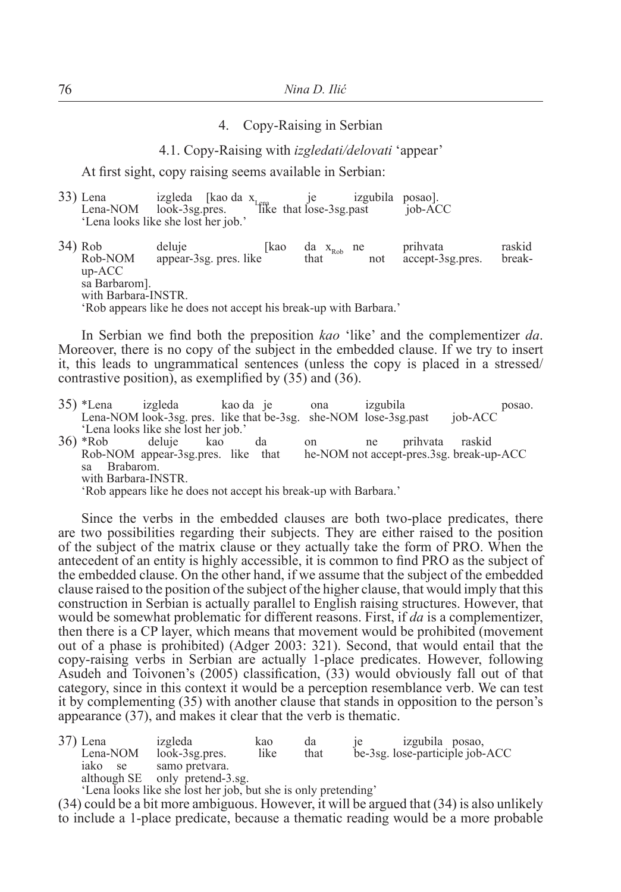### 4. Copy-Raising in Serbian

4.1. Copy-Raising with *izgledati/delovati* 'appear'

At first sight, copy raising seems available in Serbian:

| 33) Lena                            |  | izgleda [kao da $x_{\text{lrma}}$ [kao da keepast] [kao da keepast] [kao da keepast] [kao da keepast] [kao da keepast] [kao da keepast] [kao da keepast] [kao da keepast] [kao da keepast] [kao da keepast] [kao da keepast] [kao da | izgubila posao]. |         |
|-------------------------------------|--|--------------------------------------------------------------------------------------------------------------------------------------------------------------------------------------------------------------------------------------|------------------|---------|
| Lena-NOM look-3sg.pres.             |  |                                                                                                                                                                                                                                      |                  | job-ACC |
| 'Lena looks like she lost her job.' |  |                                                                                                                                                                                                                                      |                  |         |

34) Rob deluje  $\left[\begin{array}{ccc}kao & da & x_{\text{Rob}} & ne & prihvata\end{array}\right]$  raskid Rob-NOM appear-3sg. pres. like that not accept-3sg.pres. breakup-ACC sa Barbarom]. with Barbara-INSTR. 'Rob appears like he does not accept his break-up with Barbara.'

In Serbian we find both the preposition *kao* 'like' and the complementizer *da*. Moreover, there is no copy of the subject in the embedded clause. If we try to insert it, this leads to ungrammatical sentences (unless the copy is placed in a stressed/ contrastive position), as exemplified by (35) and (36).

|                     | 35) *Lena izgleda                                                | kao da je | ona | izgubila | posao.                                   |  |
|---------------------|------------------------------------------------------------------|-----------|-----|----------|------------------------------------------|--|
|                     | Lena-NOM look-3sg. pres. like that be-3sg. she-NOM lose-3sg.past |           |     |          | job-ACC                                  |  |
|                     | 'Lena looks like she lost her job.'                              |           |     |          |                                          |  |
| 36) *Rob            | deluje kao                                                       | da        | on  | ne       | prihvata raskid                          |  |
|                     | Rob-NOM appear-3sg.pres. like that                               |           |     |          | he-NOM not accept-pres.3sg. break-up-ACC |  |
| Brabarom.<br>sa     |                                                                  |           |     |          |                                          |  |
| with Barbara-INSTR. |                                                                  |           |     |          |                                          |  |
|                     | 'Rob appears like he does not accept his break-up with Barbara.' |           |     |          |                                          |  |
|                     |                                                                  |           |     |          |                                          |  |

Since the verbs in the embedded clauses are both two-place predicates, there are two possibilities regarding their subjects. They are either raised to the position of the subject of the matrix clause or they actually take the form of PRO. When the antecedent of an entity is highly accessible, it is common to find PRO as the subject of the embedded clause. On the other hand, if we assume that the subject of the embedded clause raised to the position of the subject of the higher clause, that would imply that this construction in Serbian is actually parallel to English raising structures. However, that would be somewhat problematic for different reasons. First, if *da* is a complementizer, then there is a CP layer, which means that movement would be prohibited (movement out of a phase is prohibited) (Adger 2003: 321). Second, that would entail that the copy-raising verbs in Serbian are actually 1-place predicates. However, following Asudeh and Toivonen's (2005) classification, (33) would obviously fall out of that category, since in this context it would be a perception resemblance verb. We can test it by complementing (35) with another clause that stands in opposition to the person's appearance (37), and makes it clear that the verb is thematic.

| 37) Lena      | izgleda                                                        | kao  | da   | izgubila posao, |                                 |
|---------------|----------------------------------------------------------------|------|------|-----------------|---------------------------------|
| Lena-NOM      | $look-3sg.pres.$                                               | like | that |                 | be-3sg. lose-participle job-ACC |
| 1ako<br>se se | samo pretvara.                                                 |      |      |                 |                                 |
|               | although SE only pretend-3.sg.                                 |      |      |                 |                                 |
|               | (I and India Blue die Isaak kan isle kun aka in ankennaamding) |      |      |                 |                                 |

Lena looks like she lost her job, but she is only pretending'

(34) could be a bit more ambiguous. However, it will be argued that (34) is also unlikely to include a 1-place predicate, because a thematic reading would be a more probable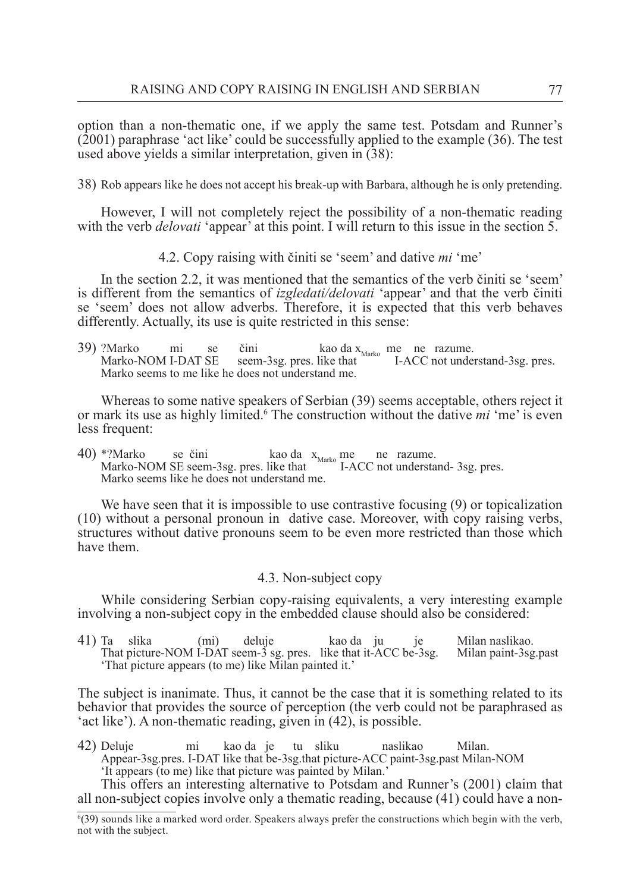option than a non-thematic one, if we apply the same test. Potsdam and Runner's (2001) paraphrase 'act like' could be successfully applied to the example (36). The test used above yields a similar interpretation, given in (38):

38) Rob appears like he does not accept his break-up with Barbara, although he is only pretending.

However, I will not completely reject the possibility of a non-thematic reading with the verb *delovati* 'appear' at this point. I will return to this issue in the section 5.

4.2. Copy raising with činiti se 'seem' and dative *mi* 'me'

In the section 2.2, it was mentioned that the semantics of the verb činiti se 'seem' is different from the semantics of *izgledati/delovati* 'appear' and that the verb činiti se 'seem' does not allow adverbs. Therefore, it is expected that this verb behaves differently. Actually, its use is quite restricted in this sense:

39) ?Marko mi se čini kao da  $x_{\text{Marko}}$  me ne razume.<br>Marko-NOM I-DAT SE seem-3sg. pres. like that I-ACC not understand-3sg. pres. Marko seems to me like he does not understand me.

Whereas to some native speakers of Serbian (39) seems acceptable, others reject it or mark its use as highly limited.<sup>6</sup> The construction without the dative *mi* 'me' is even less frequent:

40) \*?Marko se čini kao da  $x_{\text{Marko}}$  me ne razume.<br>Marko-NOM SE seem-3sg. pres. like that I-ACC not understand- 3sg. pres. Marko seems like he does not understand me.

We have seen that it is impossible to use contrastive focusing (9) or topicalization (10) without a personal pronoun in dative case. Moreover, with copy raising verbs, structures without dative pronouns seem to be even more restricted than those which have them.

#### 4.3. Non-subject copy

While considering Serbian copy-raising equivalents, a very interesting example involving a non-subject copy in the embedded clause should also be considered:

41) Ta slika (mi) deluje kao da ju je Milan naslikao. That picture-NOM  $I-DAT$  seem- $3$  sg. pres. like that it-ACC be-3sg. 'That picture appears (to me) like Milan painted it.'

The subject is inanimate. Thus, it cannot be the case that it is something related to its behavior that provides the source of perception (the verb could not be paraphrased as 'act like'). A non-thematic reading, given in (42), is possible.

42) Deluje mi kao da je tu sliku naslikao Milan. Appear-3sg.pres. I-DAT like that be-3sg.that picture-ACC paint-3sg.past Milan-NOM 'It appears (to me) like that picture was painted by Milan.'

This offers an interesting alternative to Potsdam and Runner's (2001) claim that all non-subject copies involve only a thematic reading, because (41) could have a non-

<sup>6</sup> (39) sounds like a marked word order. Speakers always prefer the constructions which begin with the verb, not with the subject.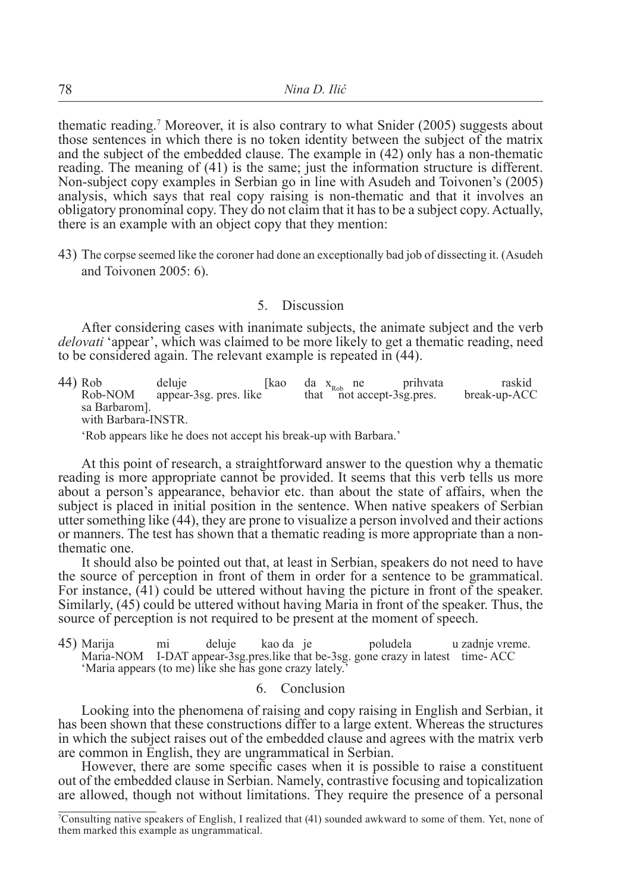thematic reading.<sup>7</sup> Moreover, it is also contrary to what Snider (2005) suggests about those sentences in which there is no token identity between the subject of the matrix and the subject of the embedded clause. The example in (42) only has a non-thematic reading. The meaning of (41) is the same; just the information structure is different. Non-subject copy examples in Serbian go in line with Asudeh and Toivonen's (2005) analysis, which says that real copy raising is non-thematic and that it involves an obligatory pronominal copy. They do not claim that it has to be a subject copy. Actually, there is an example with an object copy that they mention:

43) The corpse seemed like the coroner had done an exceptionally bad job of dissecting it. (Asudeh and Toivonen 2005: 6).

### 5. Discussion

After considering cases with inanimate subjects, the animate subject and the verb *delovati* 'appear', which was claimed to be more likely to get a thematic reading, need to be considered again. The relevant example is repeated in (44).

44) Rob deluje [kao da  $x_{\text{Rob}}$  ne prihvata raskid Rob-NOM appear-3sg pres like that not accept-3sg pres. break-up-ACC that  $\frac{100}{20}$  not accept-3sg.pres. sa Barbarom]. with Barbara-INSTR. 'Rob appears like he does not accept his break-up with Barbara.'

At this point of research, a straightforward answer to the question why a thematic reading is more appropriate cannot be provided. It seems that this verb tells us more about a person's appearance, behavior etc. than about the state of affairs, when the subject is placed in initial position in the sentence. When native speakers of Serbian utter something like (44), they are prone to visualize a person involved and their actions or manners. The test has shown that a thematic reading is more appropriate than a nonthematic one.

It should also be pointed out that, at least in Serbian, speakers do not need to have the source of perception in front of them in order for a sentence to be grammatical. For instance,  $(41)$  could be uttered without having the picture in front of the speaker. Similarly, (45) could be uttered without having Maria in front of the speaker. Thus, the source of perception is not required to be present at the moment of speech.

45) Marija mi deluje kao da je poludela u zadnje vreme. Maria-NOM I-DAT appear-3sg.pres.like that be-3sg. gone crazy in latest time- ACC 'Maria appears (to me) like she has gone crazy lately.'

#### 6. Conclusion

Looking into the phenomena of raising and copy raising in English and Serbian, it has been shown that these constructions differ to a large extent. Whereas the structures in which the subject raises out of the embedded clause and agrees with the matrix verb are common in English, they are ungrammatical in Serbian.

However, there are some specific cases when it is possible to raise a constituent out of the embedded clause in Serbian. Namely, contrastive focusing and topicalization are allowed, though not without limitations. They require the presence of a personal

<sup>7</sup> Consulting native speakers of English, I realized that (41) sounded awkward to some of them. Yet, none of them marked this example as ungrammatical.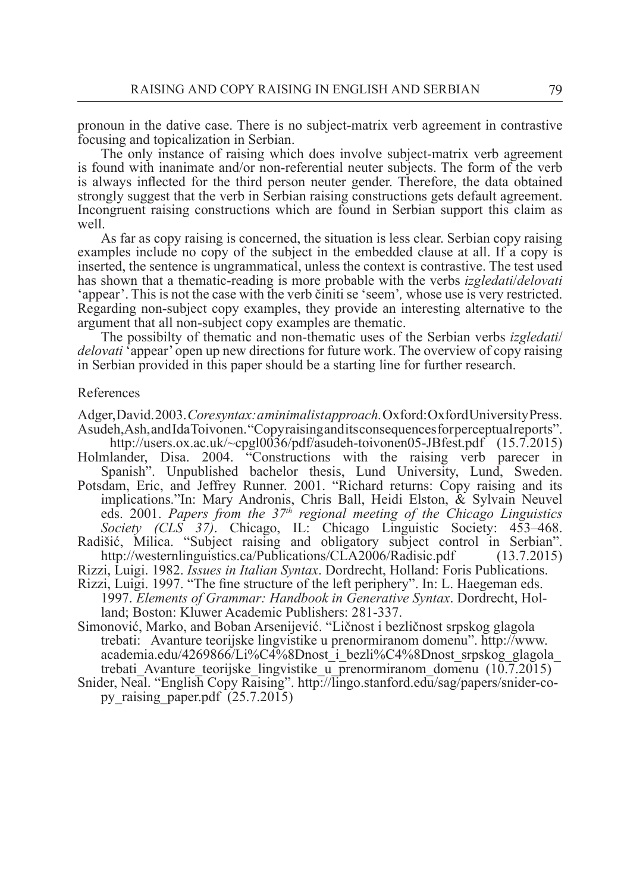pronoun in the dative case. There is no subject-matrix verb agreement in contrastive focusing and topicalization in Serbian.

The only instance of raising which does involve subject-matrix verb agreement is found with inanimate and/or non-referential neuter subjects. The form of the verb is always inflected for the third person neuter gender. Therefore, the data obtained strongly suggest that the verb in Serbian raising constructions gets default agreement. Incongruent raising constructions which are found in Serbian support this claim as well.

As far as copy raising is concerned, the situation is less clear. Serbian copy raising examples include no copy of the subject in the embedded clause at all. If a copy is inserted, the sentence is ungrammatical, unless the context is contrastive. The test used has shown that a thematic-reading is more probable with the verbs *izgledati*/*delovati*  'appear'. This is not the case with the verb činiti se 'seem'*,* whose use is very restricted. Regarding non-subject copy examples, they provide an interesting alternative to the argument that all non-subject copy examples are thematic.

The possibilty of thematic and non-thematic uses of the Serbian verbs *izgledati*/ *delovati* 'appear' open up new directions for future work. The overview of copy raising in Serbian provided in this paper should be a starting line for further research.

#### References

Adger, David. 2003. *Core syntax: a minimalist approach.* Oxford: Oxford University Press. Asudeh, Ash, and Ida Toivonen. "Copy raising and its consequences for perceptual reports".

 http://users.ox.ac.uk/~cpgl0036/pdf/asudeh-toivonen05-JBfest.pdf (15.7.2015) Holmlander, Disa. 2004. "Constructions with the raising verb parecer in

Spanish". Unpublished bachelor thesis, Lund University, Lund, Sweden. Potsdam, Eric, and Jeffrey Runner. 2001. "Richard returns: Copy raising and its implications."In: Mary Andronis, Chris Ball, Heidi Elston, & Sylvain Neuvel eds. 2001. *Papers from the 37th regional meeting of the Chicago Linguistics Society (CLS 37)*. Chicago, IL: Chicago Linguistic Society: 453–468.

Radišić, Milica. "Subject raising and obligatory subject control in Serbian". http://westernlinguistics.ca/Publications/CLA2006/Radisic.pdf (13.7.2015)

Rizzi, Luigi. 1982. *Issues in Italian Syntax*. Dordrecht, Holland: Foris Publications.

Rizzi, Luigi. 1997. "The fine structure of the left periphery". In: L. Haegeman eds. 1997. *Elements of Grammar: Handbook in Generative Syntax*. Dordrecht, Holland; Boston: Kluwer Academic Publishers: 281-337.

Simonović, Marko, and Boban Arsenijević. "Ličnost i bezličnost srpskog glagola trebati: Avanture teorijske lingvistike u prenormiranom domenu". http://www. academia.edu/4269866/Li%C4%8Dnost\_i\_bezli%C4%8Dnost\_srpskog\_glagola\_ trebati\_Avanture\_teorijske\_lingvistike\_u\_prenormiranom\_domenu (10.7.2015)

Snider, Neal. "English Copy Raising". http://lingo.stanford.edu/sag/papers/snider-copy raising paper.pdf  $(25.7.2015)$